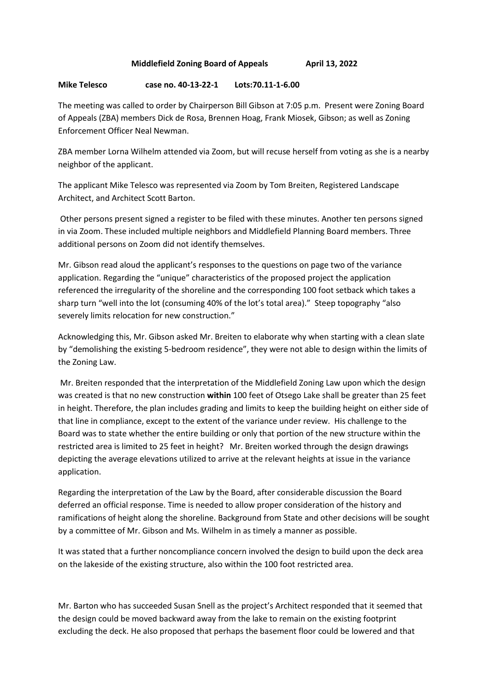## **Middlefield Zoning Board of Appeals April 13, 2022**

## **Mike Telesco case no. 40-13-22-1 Lots:70.11-1-6.00**

The meeting was called to order by Chairperson Bill Gibson at 7:05 p.m. Present were Zoning Board of Appeals (ZBA) members Dick de Rosa, Brennen Hoag, Frank Miosek, Gibson; as well as Zoning Enforcement Officer Neal Newman.

ZBA member Lorna Wilhelm attended via Zoom, but will recuse herself from voting as she is a nearby neighbor of the applicant.

The applicant Mike Telesco was represented via Zoom by Tom Breiten, Registered Landscape Architect, and Architect Scott Barton.

 Other persons present signed a register to be filed with these minutes. Another ten persons signed in via Zoom. These included multiple neighbors and Middlefield Planning Board members. Three additional persons on Zoom did not identify themselves.

Mr. Gibson read aloud the applicant's responses to the questions on page two of the variance application. Regarding the "unique" characteristics of the proposed project the application referenced the irregularity of the shoreline and the corresponding 100 foot setback which takes a sharp turn "well into the lot (consuming 40% of the lot's total area)." Steep topography "also severely limits relocation for new construction."

Acknowledging this, Mr. Gibson asked Mr. Breiten to elaborate why when starting with a clean slate by "demolishing the existing 5-bedroom residence", they were not able to design within the limits of the Zoning Law.

 Mr. Breiten responded that the interpretation of the Middlefield Zoning Law upon which the design was created is that no new construction **within** 100 feet of Otsego Lake shall be greater than 25 feet in height. Therefore, the plan includes grading and limits to keep the building height on either side of that line in compliance, except to the extent of the variance under review. His challenge to the Board was to state whether the entire building or only that portion of the new structure within the restricted area is limited to 25 feet in height? Mr. Breiten worked through the design drawings depicting the average elevations utilized to arrive at the relevant heights at issue in the variance application.

Regarding the interpretation of the Law by the Board, after considerable discussion the Board deferred an official response. Time is needed to allow proper consideration of the history and ramifications of height along the shoreline. Background from State and other decisions will be sought by a committee of Mr. Gibson and Ms. Wilhelm in as timely a manner as possible.

It was stated that a further noncompliance concern involved the design to build upon the deck area on the lakeside of the existing structure, also within the 100 foot restricted area.

Mr. Barton who has succeeded Susan Snell as the project's Architect responded that it seemed that the design could be moved backward away from the lake to remain on the existing footprint excluding the deck. He also proposed that perhaps the basement floor could be lowered and that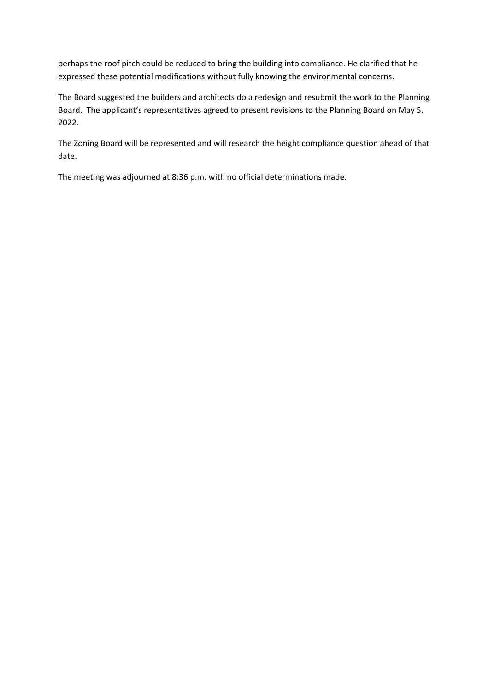perhaps the roof pitch could be reduced to bring the building into compliance. He clarified that he expressed these potential modifications without fully knowing the environmental concerns.

The Board suggested the builders and architects do a redesign and resubmit the work to the Planning Board. The applicant's representatives agreed to present revisions to the Planning Board on May 5. 2022.

The Zoning Board will be represented and will research the height compliance question ahead of that date.

The meeting was adjourned at 8:36 p.m. with no official determinations made.